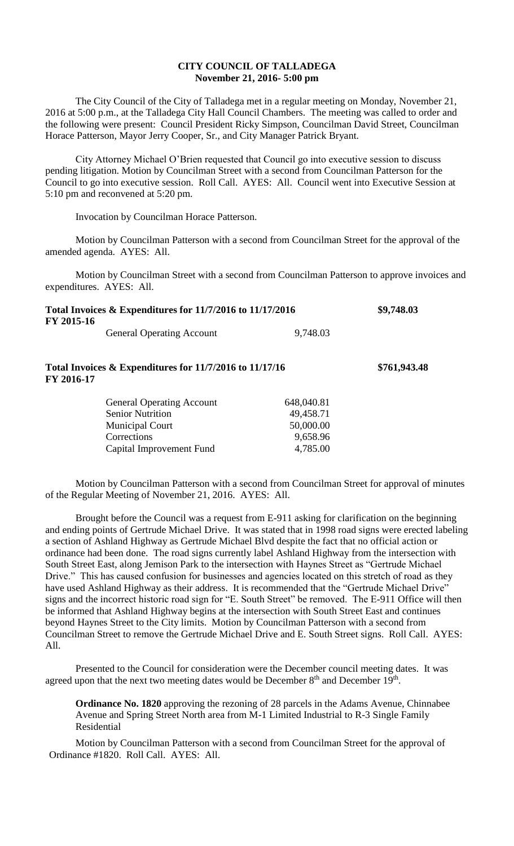## **CITY COUNCIL OF TALLADEGA November 21, 2016- 5:00 pm**

The City Council of the City of Talladega met in a regular meeting on Monday, November 21, 2016 at 5:00 p.m., at the Talladega City Hall Council Chambers. The meeting was called to order and the following were present: Council President Ricky Simpson, Councilman David Street, Councilman Horace Patterson, Mayor Jerry Cooper, Sr., and City Manager Patrick Bryant.

City Attorney Michael O'Brien requested that Council go into executive session to discuss pending litigation. Motion by Councilman Street with a second from Councilman Patterson for the Council to go into executive session. Roll Call. AYES: All. Council went into Executive Session at 5:10 pm and reconvened at 5:20 pm.

Invocation by Councilman Horace Patterson.

Motion by Councilman Patterson with a second from Councilman Street for the approval of the amended agenda. AYES: All.

Motion by Councilman Street with a second from Councilman Patterson to approve invoices and expenditures. AYES: All.

| FY 2015-16 | Total Invoices $&$ Expenditures for 11/7/2016 to 11/17/2016           | \$9,748.03 |              |
|------------|-----------------------------------------------------------------------|------------|--------------|
|            | <b>General Operating Account</b>                                      | 9,748.03   |              |
|            | Total Invoices & Expenditures for 11/7/2016 to 11/17/16<br>FY 2016-17 |            | \$761,943.48 |
|            | <b>General Operating Account</b>                                      | 648,040.81 |              |
|            | <b>Senior Nutrition</b>                                               | 49,458.71  |              |
|            | <b>Municipal Court</b>                                                | 50,000.00  |              |

Corrections 9,658.96 Capital Improvement Fund 4,785.00

Motion by Councilman Patterson with a second from Councilman Street for approval of minutes of the Regular Meeting of November 21, 2016. AYES: All.

Brought before the Council was a request from E-911 asking for clarification on the beginning and ending points of Gertrude Michael Drive. It was stated that in 1998 road signs were erected labeling a section of Ashland Highway as Gertrude Michael Blvd despite the fact that no official action or ordinance had been done. The road signs currently label Ashland Highway from the intersection with South Street East, along Jemison Park to the intersection with Haynes Street as "Gertrude Michael Drive." This has caused confusion for businesses and agencies located on this stretch of road as they have used Ashland Highway as their address. It is recommended that the "Gertrude Michael Drive" signs and the incorrect historic road sign for "E. South Street" be removed. The E-911 Office will then be informed that Ashland Highway begins at the intersection with South Street East and continues beyond Haynes Street to the City limits. Motion by Councilman Patterson with a second from Councilman Street to remove the Gertrude Michael Drive and E. South Street signs. Roll Call. AYES: All.

Presented to the Council for consideration were the December council meeting dates. It was agreed upon that the next two meeting dates would be December  $8<sup>th</sup>$  and December  $19<sup>th</sup>$ .

**Ordinance No. 1820** approving the rezoning of 28 parcels in the Adams Avenue, Chinnabee Avenue and Spring Street North area from M-1 Limited Industrial to R-3 Single Family Residential

Motion by Councilman Patterson with a second from Councilman Street for the approval of Ordinance #1820. Roll Call. AYES: All.